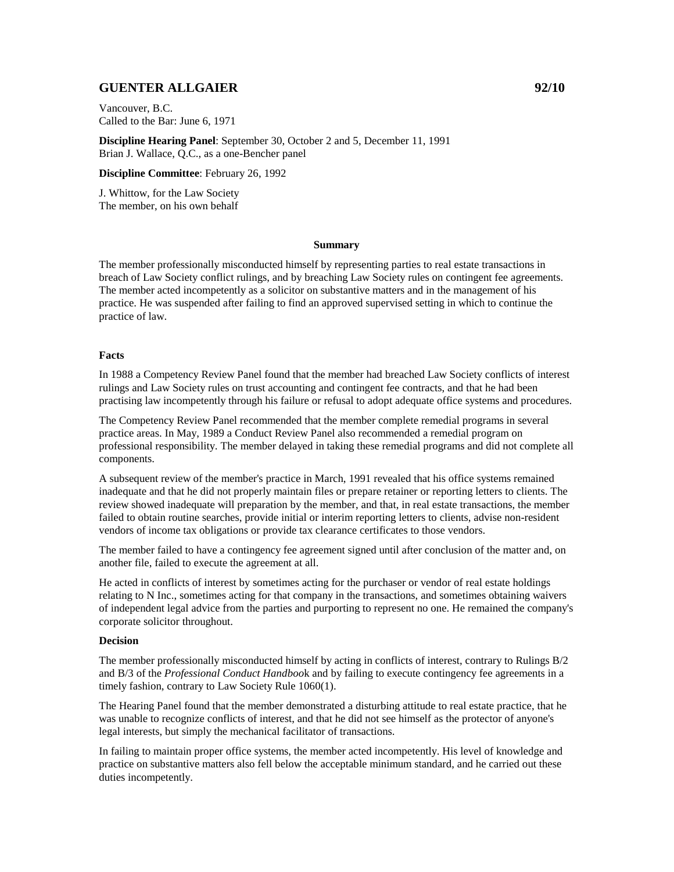# **GUENTER ALLGAIER 92/10**

Vancouver, B.C. Called to the Bar: June 6, 1971

**Discipline Hearing Panel**: September 30, October 2 and 5, December 11, 1991 Brian J. Wallace, Q.C., as a one-Bencher panel

**Discipline Committee**: February 26, 1992

J. Whittow, for the Law Society The member, on his own behalf

### **Summary**

The member professionally misconducted himself by representing parties to real estate transactions in breach of Law Society conflict rulings, and by breaching Law Society rules on contingent fee agreements. The member acted incompetently as a solicitor on substantive matters and in the management of his practice. He was suspended after failing to find an approved supervised setting in which to continue the practice of law.

### **Facts**

In 1988 a Competency Review Panel found that the member had breached Law Society conflicts of interest rulings and Law Society rules on trust accounting and contingent fee contracts, and that he had been practising law incompetently through his failure or refusal to adopt adequate office systems and procedures.

The Competency Review Panel recommended that the member complete remedial programs in several practice areas. In May, 1989 a Conduct Review Panel also recommended a remedial program on professional responsibility. The member delayed in taking these remedial programs and did not complete all components.

A subsequent review of the member's practice in March, 1991 revealed that his office systems remained inadequate and that he did not properly maintain files or prepare retainer or reporting letters to clients. The review showed inadequate will preparation by the member, and that, in real estate transactions, the member failed to obtain routine searches, provide initial or interim reporting letters to clients, advise non-resident vendors of income tax obligations or provide tax clearance certificates to those vendors.

The member failed to have a contingency fee agreement signed until after conclusion of the matter and, on another file, failed to execute the agreement at all.

He acted in conflicts of interest by sometimes acting for the purchaser or vendor of real estate holdings relating to N Inc., sometimes acting for that company in the transactions, and sometimes obtaining waivers of independent legal advice from the parties and purporting to represent no one. He remained the company's corporate solicitor throughout.

### **Decision**

The member professionally misconducted himself by acting in conflicts of interest, contrary to Rulings B/2 and B/3 of the *Professional Conduct Handboo*k and by failing to execute contingency fee agreements in a timely fashion, contrary to Law Society Rule 1060(1).

The Hearing Panel found that the member demonstrated a disturbing attitude to real estate practice, that he was unable to recognize conflicts of interest, and that he did not see himself as the protector of anyone's legal interests, but simply the mechanical facilitator of transactions.

In failing to maintain proper office systems, the member acted incompetently. His level of knowledge and practice on substantive matters also fell below the acceptable minimum standard, and he carried out these duties incompetently.